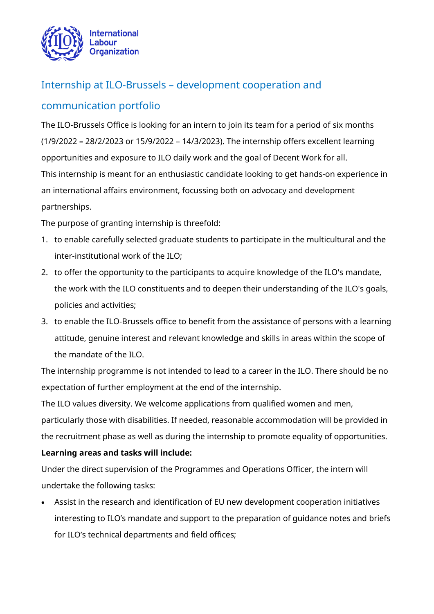

# Internship at ILO-Brussels – development cooperation and

## communication portfolio

The ILO-Brussels Office is looking for an intern to join its team for a period of six months (1/9/2022 **–** 28/2/2023 or 15/9/2022 – 14/3/2023). The internship offers excellent learning opportunities and exposure to ILO daily work and the goal of Decent Work for all. This internship is meant for an enthusiastic candidate looking to get hands-on experience in an international affairs environment, focussing both on advocacy and development partnerships.

The purpose of granting internship is threefold:

- 1. to enable carefully selected graduate students to participate in the multicultural and the inter-institutional work of the ILO;
- 2. to offer the opportunity to the participants to acquire knowledge of the ILO's mandate, the work with the ILO constituents and to deepen their understanding of the ILO's goals, policies and activities;
- 3. to enable the ILO-Brussels office to benefit from the assistance of persons with a learning attitude, genuine interest and relevant knowledge and skills in areas within the scope of the mandate of the ILO.

The internship programme is not intended to lead to a career in the ILO. There should be no expectation of further employment at the end of the internship.

The ILO values diversity. We welcome applications from qualified women and men, particularly those with disabilities. If needed, reasonable accommodation will be provided in the recruitment phase as well as during the internship to promote equality of opportunities.

### **Learning areas and tasks will include:**

Under the direct supervision of the Programmes and Operations Officer, the intern will undertake the following tasks:

• Assist in the research and identification of EU new development cooperation initiatives interesting to ILO's mandate and support to the preparation of guidance notes and briefs for ILO's technical departments and field offices;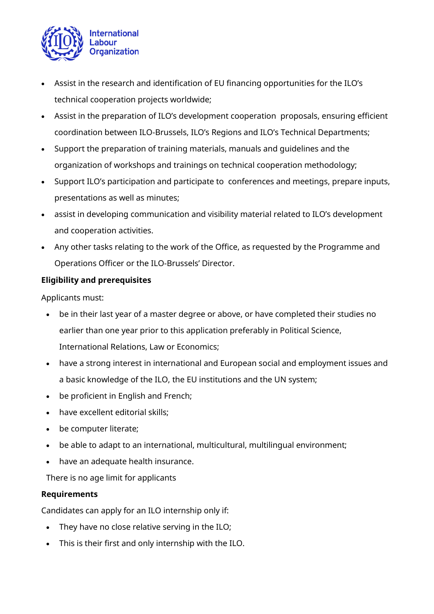

- Assist in the research and identification of EU financing opportunities for the ILO's technical cooperation projects worldwide;
- Assist in the preparation of ILO's development cooperation proposals, ensuring efficient coordination between ILO-Brussels, ILO's Regions and ILO's Technical Departments;
- Support the preparation of training materials, manuals and guidelines and the organization of workshops and trainings on technical cooperation methodology;
- Support ILO's participation and participate to conferences and meetings, prepare inputs, presentations as well as minutes;
- assist in developing communication and visibility material related to ILO's development and cooperation activities.
- Any other tasks relating to the work of the Office, as requested by the Programme and Operations Officer or the ILO-Brussels' Director.

## **Eligibility and prerequisites**

Applicants must:

- be in their last year of a master degree or above, or have completed their studies no earlier than one year prior to this application preferably in Political Science, International Relations, Law or Economics;
- have a strong interest in international and European social and employment issues and a basic knowledge of the ILO, the EU institutions and the UN system;
- be proficient in English and French;
- have excellent editorial skills;
- be computer literate;
- be able to adapt to an international, multicultural, multilingual environment;
- have an adequate health insurance.

There is no age limit for applicants

### **Requirements**

Candidates can apply for an ILO internship only if:

- They have no close relative serving in the ILO;
- This is their first and only internship with the ILO.